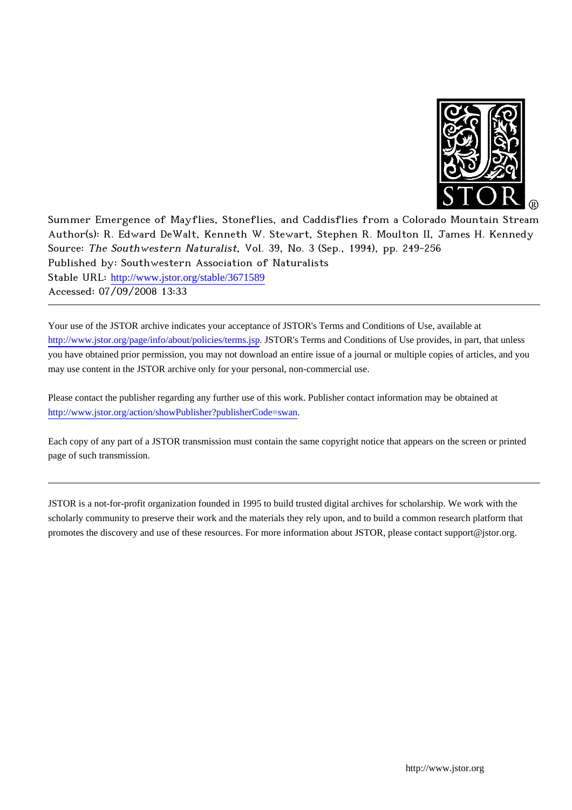

Summer Emergence of Mayflies, Stoneflies, and Caddisflies from a Colorado Mountain Stream Author(s): R. Edward DeWalt, Kenneth W. Stewart, Stephen R. Moulton II, James H. Kennedy Source: The Southwestern Naturalist, Vol. 39, No. 3 (Sep., 1994), pp. 249-256 Published by: Southwestern Association of Naturalists Stable URL: [http://www.jstor.org/stable/3671589](http://www.jstor.org/stable/3671589?origin=JSTOR-pdf) Accessed: 07/09/2008 13:33

Your use of the JSTOR archive indicates your acceptance of JSTOR's Terms and Conditions of Use, available at <http://www.jstor.org/page/info/about/policies/terms.jsp>. JSTOR's Terms and Conditions of Use provides, in part, that unless you have obtained prior permission, you may not download an entire issue of a journal or multiple copies of articles, and you may use content in the JSTOR archive only for your personal, non-commercial use.

Please contact the publisher regarding any further use of this work. Publisher contact information may be obtained at [http://www.jstor.org/action/showPublisher?publisherCode=swan.](http://www.jstor.org/action/showPublisher?publisherCode=swan)

Each copy of any part of a JSTOR transmission must contain the same copyright notice that appears on the screen or printed page of such transmission.

JSTOR is a not-for-profit organization founded in 1995 to build trusted digital archives for scholarship. We work with the scholarly community to preserve their work and the materials they rely upon, and to build a common research platform that promotes the discovery and use of these resources. For more information about JSTOR, please contact support@jstor.org.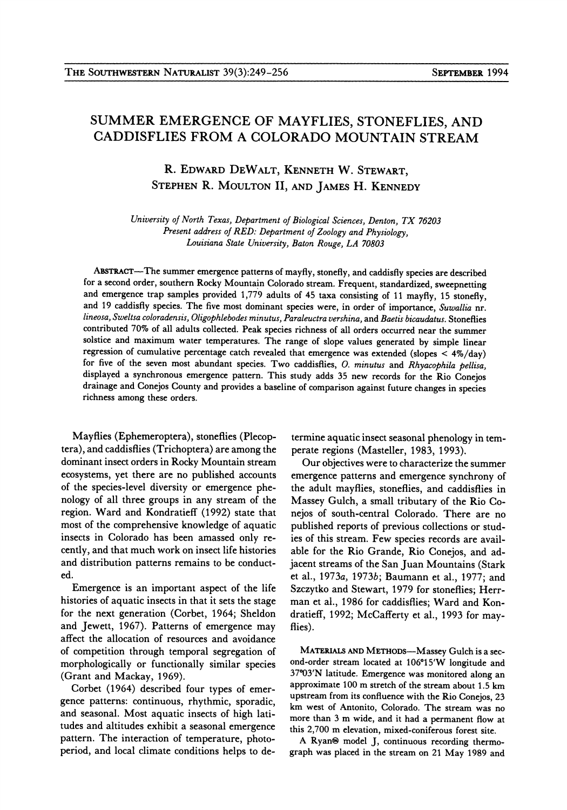## **SUMMER EMERGENCE OF MAYFLIES, STONEFLIES, AND CADDISFLIES FROM A COLORADO MOUNTAIN STREAM**

## **R. EDWARD DEWALT, KENNETH W. STEWART, STEPHEN R. MOULTON II, AND JAMES H. KENNEDY**

**University of North Texas, Department of Biological Sciences, Denton, TX 76203 Present address of RED: Department of Zoology and Physiology, Louisiana State University, Baton Rouge, LA 70803** 

**ABSTRACT-The summer emergence patterns of mayfly, stonefly, and caddisfly species are described for a second order, southern Rocky Mountain Colorado stream. Frequent, standardized, sweepnetting and emergence trap samples provided 1,779 adults of 45 taxa consisting of 11 mayfly, 15 stonefly, and 19 caddisfly species. The five most dominant species were, in order of importance, Suwallia nr. lineosa, Sweltsa coloradensis, Oligophlebodes minutus, Paraleuctra vershina, and Baetis bicaudatus. Stoneflies contributed 70% of all adults collected. Peak species richness of all orders occurred near the summer**  solstice and maximum water temperatures. The range of slope values generated by simple linear regression of cumulative percentage catch revealed that emergence was extended (slopes < 4%/day) for five of the seven most abundant species. Two caddisflies, O. minutus and Rhyacophila pellisa, **displayed a synchronous emergence pattern. This study adds 35 new records for the Rio Conejos drainage and Conejos County and provides a baseline of comparison against future changes in species richness among these orders.** 

**Mayflies (Ephemeroptera), stoneflies (Plecoptera), and caddisflies (Trichoptera) are among the dominant insect orders in Rocky Mountain stream ecosystems, yet there are no published accounts of the species-level diversity or emergence phenology of all three groups in any stream of the region. Ward and Kondratieff (1992) state that most of the comprehensive knowledge of aquatic insects in Colorado has been amassed only recently, and that much work on insect life histories and distribution patterns remains to be conducted.** 

**Emergence is an important aspect of the life histories of aquatic insects in that it sets the stage for the next generation (Corbet, 1964; Sheldon and Jewett, 1967). Patterns of emergence may affect the allocation of resources and avoidance of competition through temporal segregation of morphologically or functionally similar species (Grant and Mackay, 1969).** 

**Corbet (1964) described four types of emergence patterns: continuous, rhythmic, sporadic, and seasonal. Most aquatic insects of high latitudes and altitudes exhibit a seasonal emergence pattern. The interaction of temperature, photoperiod, and local climate conditions helps to de-** **termine aquatic insect seasonal phenology in temperate regions (Masteller, 1983, 1993).** 

**Our objectives were to characterize the summer emergence patterns and emergence synchrony of the adult mayflies, stoneflies, and caddisflies in Massey Gulch, a small tributary of the Rio Conejos of south-central Colorado. There are no published reports of previous collections or studies of this stream. Few species records are available for the Rio Grande, Rio Conejos, and adjacent streams of the San Juan Mountains (Stark et al., 1973a, 1973b; Baumann et al., 1977; and Szczytko and Stewart, 1979 for stoneflies; Herrman et al., 1986 for caddisflies; Ward and Kondratieff, 1992; McCafferty et al., 1993 for mayflies).** 

**MATERIALS AND METHODS-Massey Gulch is a second-order stream located at 106?15'W longitude and 37?03'N latitude. Emergence was monitored along an approximate 100 m stretch of the stream about 1.5 km upstream from its confluence with the Rio Conejos, 23 km west of Antonito, Colorado. The stream was no more than 3 m wide, and it had a permanent flow at this 2,700 m elevation, mixed-coniferous forest site.** 

**A Ryane model J, continuous recording thermograph was placed in the stream on 21 May 1989 and**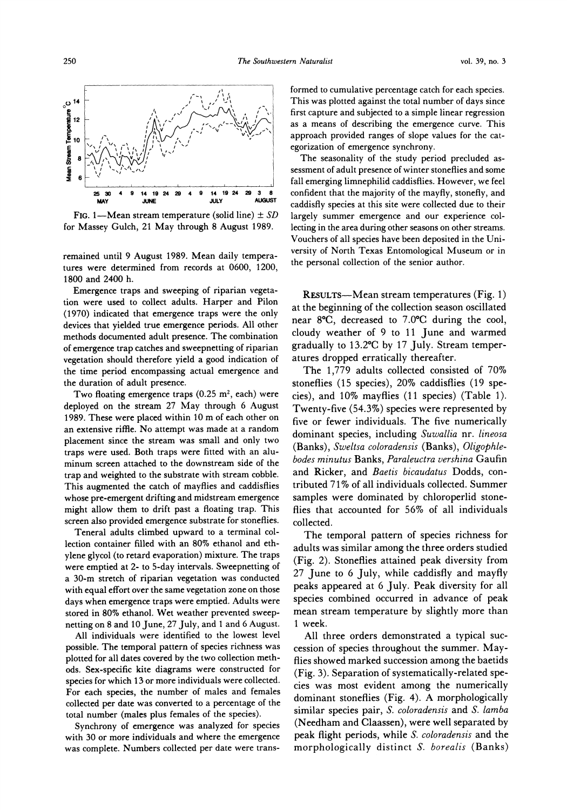

FIG. 1-Mean stream temperature (solid line)  $\pm SD$ **for Massey Gulch, 21 May through 8 August 1989.** 

**remained until 9 August 1989. Mean daily temperatures were determined from records at 0600, 1200, 1800 and 2400 h.** 

**Emergence traps and sweeping of riparian vegetation were used to collect adults. Harper and Pilon (1970) indicated that emergence traps were the only devices that yielded true emergence periods. All other methods documented adult presence. The combination of emergence trap catches and sweepnetting of riparian vegetation should therefore yield a good indication of the time period encompassing actual emergence and the duration of adult presence.** 

Two floating emergence traps (0.25 m<sup>2</sup>, each) were **deployed on the stream 27 May through 6 August 1989. These were placed within 10 m of each other on an extensive riffle. No attempt was made at a random placement since the stream was small and only two traps were used. Both traps were fitted with an aluminum screen attached to the downstream side of the trap and weighted to the substrate with stream cobble. This augmented the catch of mayflies and caddisflies whose pre-emergent drifting and midstream emergence might allow them to drift past a floating trap. This screen also provided emergence substrate for stoneflies.** 

**Teneral adults climbed upward to a terminal collection container filled with an 80% ethanol and ethylene glycol (to retard evaporation) mixture. The traps were emptied at 2- to 5-day intervals. Sweepnetting of a 30-m stretch of riparian vegetation was conducted with equal effort over the same vegetation zone on those days when emergence traps were emptied. Adults were stored in 80% ethanol. Wet weather prevented sweepnetting on 8 and 10 June, 27 July, and 1 and 6 August.** 

**All individuals were identified to the lowest level possible. The temporal pattern of species richness was plotted for all dates covered by the two collection methods. Sex-specific kite diagrams were constructed for species for which 13 or more individuals were collected. For each species, the number of males and females collected per date was converted to a percentage of the total number (males plus females of the species).** 

**Synchrony of emergence was analyzed for species with 30 or more individuals and where the emergence was complete. Numbers collected per date were trans-** **formed to cumulative percentage catch for each species. This was plotted against the total number of days since first capture and subjected to a simple linear regression as a means of describing the emergence curve. This approach provided ranges of slope values for the categorization of emergence synchrony.** 

**The seasonality of the study period precluded assessment of adult presence of winter stoneflies and some fall emerging limnephilid caddisflies. However, we feel confident that the majority of the mayfly, stonefly, and caddisfly species at this site were collected due to their largely summer emergence and our experience collecting in the area during other seasons on other streams. Vouchers of all species have been deposited in the University of North Texas Entomological Museum or in the personal collection of the senior author.** 

**RESULTS-Mean stream temperatures (Fig. 1) at the beginning of the collection season oscillated near 8'C, decreased to 7.0?C during the cool, cloudy weather of 9 to 11 June and warmed gradually to 13.20C by 17 July. Stream temperatures dropped erratically thereafter.** 

**The 1,779 adults collected consisted of 70% stoneflies (15 species), 20% caddisflies (19 species), and 10% mayflies (11 species) (Table 1). Twenty-five (54.3%) species were represented by five or fewer individuals. The five numerically dominant species, including Suwallia nr. lineosa (Banks), Sweltsa coloradensis (Banks), Oligophlebodes minutus Banks, Paraleuctra vershina Gaufin and Ricker, and Baetis bicaudatus Dodds, contributed 71% of all individuals collected. Summer samples were dominated by chloroperlid stoneflies that accounted for 56% of all individuals collected.** 

**The temporal pattern of species richness for adults was similar among the three orders studied (Fig. 2). Stoneflies attained peak diversity from 27 June to 6 July, while caddisfly and mayfly peaks appeared at 6 July. Peak diversity for all species combined occurred in advance of peak mean stream temperature by slightly more than 1 week.** 

**All three orders demonstrated a typical succession of species throughout the summer. Mayflies showed marked succession among the baetids (Fig. 3). Separation of systematically-related species was most evident among the numerically dominant stoneflies (Fig. 4). A morphologically similar species pair, S. coloradensis and S. lamba (Needham and Claassen), were well separated by peak flight periods, while S. coloradensis and the morphologically distinct S. borealis (Banks)**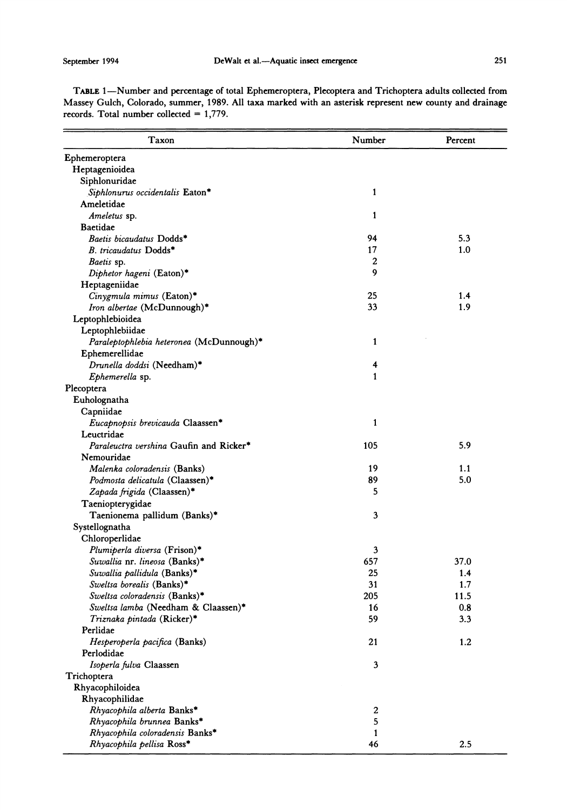**TABLE 1-Number and percentage of total Ephemeroptera, Plecoptera and Trichoptera adults collected from Massey Gulch, Colorado, summer, 1989. All taxa marked with an asterisk represent new county and drainage records. Total number collected = 1,779.** 

| Taxon                                        | Number       | Percent |
|----------------------------------------------|--------------|---------|
| Ephemeroptera                                |              |         |
| Heptagenioidea                               |              |         |
| Siphlonuridae                                |              |         |
| Siphlonurus occidentalis Eaton*              | 1            |         |
| Ameletidae                                   |              |         |
| Ameletus sp.                                 | 1            |         |
| <b>Baetidae</b>                              |              |         |
| Baetis bicaudatus Dodds*                     | 94           | 5.3     |
| B. tricaudatus Dodds*                        | 17           | 1.0     |
| <i>Baetis</i> sp.                            | 2            |         |
| Diphetor hageni (Eaton)*                     | 9            |         |
| Heptageniidae                                |              |         |
| Cinygmula mimus (Eaton)*                     | 25           | 1.4     |
| Iron albertae (McDunnough)*                  | 33           | 1.9     |
| Leptophlebioidea                             |              |         |
| Leptophlebiidae                              |              |         |
| Paraleptophlebia heteronea (McDunnough)*     | 1            |         |
| Ephemerellidae                               |              |         |
| Drunella doddsi (Needham)*                   | 4            |         |
| Ephemerella sp.                              | 1            |         |
| Plecoptera                                   |              |         |
| Euholognatha                                 |              |         |
| Capniidae                                    |              |         |
| Eucapnopsis brevicauda Claassen*             | $\mathbf{1}$ |         |
| Leuctridae                                   |              |         |
| Paraleuctra vershina Gaufin and Ricker*      | 105          | 5.9     |
| Nemouridae                                   |              |         |
| Malenka coloradensis (Banks)                 | 19           | 1.1     |
| Podmosta delicatula (Claassen)*              | 89           | 5.0     |
| Zapada frigida (Claassen)*                   | 5            |         |
| Taeniopterygidae                             |              |         |
| Taenionema pallidum (Banks)*                 | 3            |         |
| Systellognatha                               |              |         |
| Chloroperlidae                               |              |         |
| Plumiperla diversa (Frison)*                 | 3            |         |
| Suwallia nr. lineosa (Banks)*                | 657          | 37.0    |
| Suwallia pallidula (Banks)*                  | 25           | 1.4     |
| Sweltsa borealis (Banks)*                    | 31           | 1.7     |
| Sweltsa coloradensis (Banks)*                | 205          | 11.5    |
| Sweltsa lamba (Needham & Claassen)*          | 16           | 0.8     |
| Triznaka pintada (Ricker)*                   | 59           | 3.3     |
| Perlidae                                     |              |         |
| Hesperoperla pacifica (Banks)                | 21           | 1.2     |
| Perlodidae                                   |              |         |
| Isoperla fulva Claassen                      | 3            |         |
| Trichoptera                                  |              |         |
| Rhyacophiloidea                              |              |         |
| Rhyacophilidae<br>Rhyacophila alberta Banks* |              |         |
| Rhyacophila brunnea Banks*                   | 2<br>5       |         |
| Rhyacophila coloradensis Banks*              | 1            |         |
| Rhyacophila pellisa Ross*                    | 46           | 2.5     |
|                                              |              |         |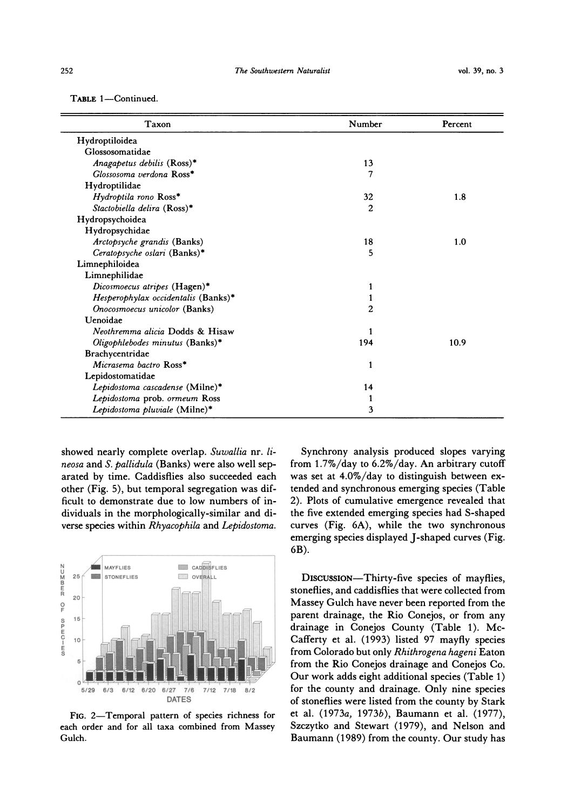| TABLE 1-Continued. |  |
|--------------------|--|
|--------------------|--|

| Taxon                               | Number         | Percent |  |
|-------------------------------------|----------------|---------|--|
| Hydroptiloidea                      |                |         |  |
| Glossosomatidae                     |                |         |  |
| Anagapetus debilis (Ross)*          | 13             |         |  |
| Glossosoma verdona Ross*            | 7              |         |  |
| Hydroptilidae                       |                |         |  |
| Hydroptila rono Ross*               | 32             | 1.8     |  |
| Stactobiella delira (Ross)*         | $\overline{c}$ |         |  |
| Hydropsychoidea                     |                |         |  |
| Hydropsychidae                      |                |         |  |
| Arctopsyche grandis (Banks)         | 18             | 1.0     |  |
| Ceratopsyche oslari (Banks)*        | 5              |         |  |
| Limnephiloidea                      |                |         |  |
| Limnephilidae                       |                |         |  |
| Dicosmoecus atripes (Hagen)*        | 1              |         |  |
| Hesperophylax occidentalis (Banks)* | 1              |         |  |
| Onocosmoecus unicolor (Banks)       | $\overline{c}$ |         |  |
| Uenoidae                            |                |         |  |
| Neothremma alicia Dodds & Hisaw     | 1              |         |  |
| Oligophlebodes minutus (Banks)*     | 194            | 10.9    |  |
| Brachycentridae                     |                |         |  |
| Micrasema bactro Ross*              | 1              |         |  |
| Lepidostomatidae                    |                |         |  |
| Lepidostoma cascadense (Milne)*     | 14             |         |  |
| Lepidostoma prob. ormeum Ross       | 1              |         |  |
| Lepidostoma pluviale (Milne)*       | 3              |         |  |

**showed nearly complete overlap. Suwallia nr. lineosa and S. pallidula (Banks) were also well separated by time. Caddisflies also succeeded each other (Fig. 5), but temporal segregation was difficult to demonstrate due to low numbers of individuals in the morphologically-similar and diverse species within Rhyacophila and Lepidostoma.** 



FIG. 2-Temporal pattern of species richness for **each order and for all taxa combined from Massey Gulch.** 

**Synchrony analysis produced slopes varying from 1.7%/day to 6.2%/day. An arbitrary cutoff was set at 4.0%/day to distinguish between extended and synchronous emerging species (Table 2). Plots of cumulative emergence revealed that the five extended emerging species had S-shaped curves (Fig. 6A), while the two synchronous emerging species displayed J-shaped curves (Fig. 6B).** 

**DISCUSSION-Thirty-five species of mayflies, stoneflies, and caddisflies that were collected from Massey Gulch have never been reported from the parent drainage, the Rio Conejos, or from any drainage in Conejos County (Table 1). Mc-Cafferty et al. (1993) listed 97 mayfly species from Colorado but only Rhithrogena hageni Eaton from the Rio Conejos drainage and Conejos Co. Our work adds eight additional species (Table 1) for the county and drainage. Only nine species of stoneflies were listed from the county by Stark et al. (1973a, 1973b), Baumann et al. (1977), Szczytko and Stewart (1979), and Nelson and Baumann (1989) from the county. Our study has**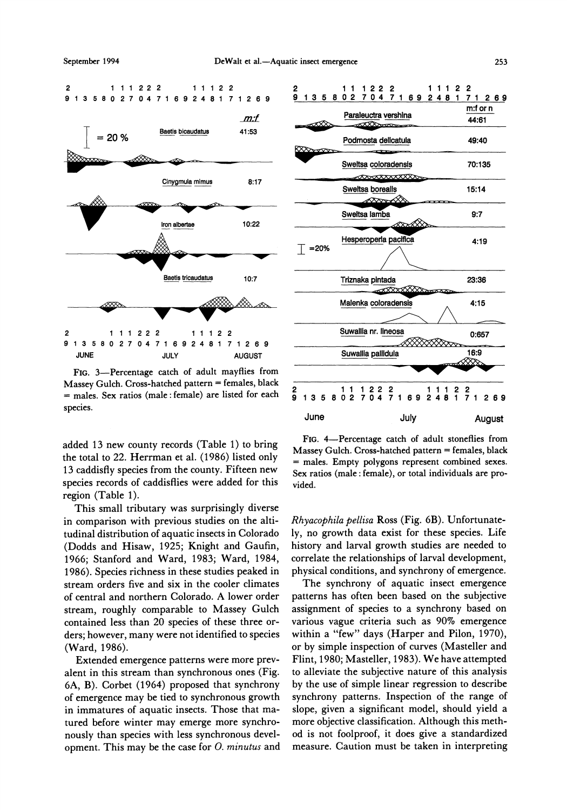

**FIG. 3-Percentage catch of adult mayflies from Massey Gulch. Cross-hatched pattern = females, black = males. Sex ratios (male: female) are listed for each species.** 

**added 13 new county records (Table 1) to bring the total to 22. Herrman et al. (1986) listed only 13 caddisfly species from the county. Fifteen new species records of caddisflies were added for this region (Table 1).** 

**This small tributary was surprisingly diverse in comparison with previous studies on the altitudinal distribution of aquatic insects in Colorado (Dodds and Hisaw, 1925; Knight and Gaufin, 1966; Stanford and Ward, 1983; Ward, 1984, 1986). Species richness in these studies peaked in stream orders five and six in the cooler climates of central and northern Colorado. A lower order stream, roughly comparable to Massey Gulch contained less than 20 species of these three orders; however, many were not identified to species (Ward, 1986).** 

**Extended emergence patterns were more prevalent in this stream than synchronous ones (Fig. 6A, B). Corbet (1964) proposed that synchrony of emergence may be tied to synchronous growth in immatures of aquatic insects. Those that matured before winter may emerge more synchronously than species with less synchronous development. This may be the case for 0. minutus and** 



**FIG. 4-Percentage catch of adult stoneflies from Massey Gulch. Cross-hatched pattern = females, black = males. Empty polygons represent combined sexes. Sex ratios (male: female), or total individuals are provided.** 

**Rhyacophila pellisa Ross (Fig. 6B). Unfortunately, no growth data exist for these species. Life history and larval growth studies are needed to correlate the relationships of larval development, physical conditions, and synchrony of emergence.** 

**The synchrony of aquatic insect emergence patterns has often been based on the subjective assignment of species to a synchrony based on various vague criteria such as 90% emergence within a "few" days (Harper and Pilon, 1970), or by simple inspection of curves (Masteller and Flint, 1980; Masteller, 1983). We have attempted to alleviate the subjective nature of this analysis by the use of simple linear regression to describe synchrony patterns. Inspection of the range of slope, given a significant model, should yield a more objective classification. Although this method is not foolproof, it does give a standardized measure. Caution must be taken in interpreting**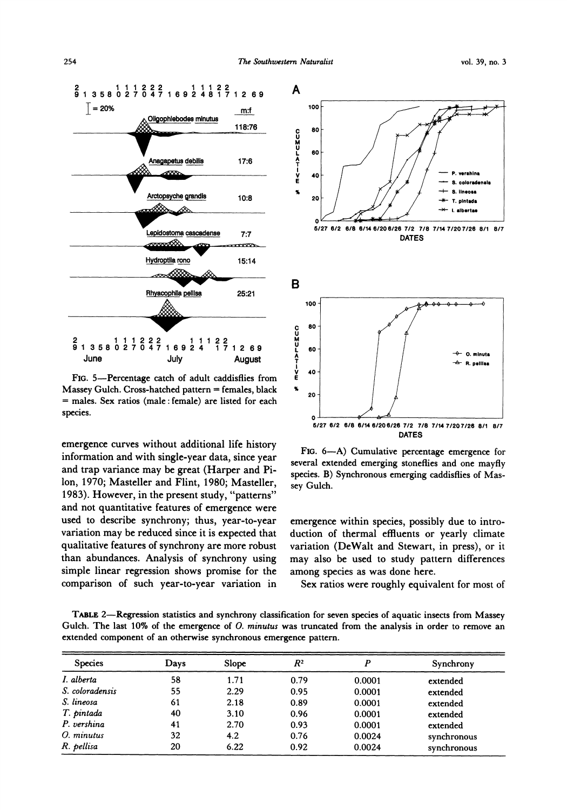

**FIG. 5-Percentage catch of adult caddisflies from Massey Gulch. Cross-hatched pattern = females, black = males. Sex ratios (male: female) are listed for each species.** 

**emergence curves without additional life history information and with single-year data, since year and trap variance may be great (Harper and Pilon, 1970; Masteller and Flint, 1980; Masteller, 1983). However, in the present study, "patterns" and not quantitative features of emergence were used to describe synchrony; thus, year-to-year variation may be reduced since it is expected that qualitative features of synchrony are more robust than abundances. Analysis of synchrony using simple linear regression shows promise for the comparison of such year-to-year variation in** 



FIG. 6-A) Cumulative percentage emergence for **several extended emerging stoneflies and one mayfly species. B) Synchronous emerging caddisflies of Massey Gulch.** 

**emergence within species, possibly due to introduction of thermal effluents or yearly climate variation (DeWalt and Stewart, in press), or it may also be used to study pattern differences among species as was done here.** 

**Sex ratios were roughly equivalent for most of** 

**TABLE 2-Regression statistics and synchrony classification for seven species of aquatic insects from Massey**  Gulch. The last 10% of the emergence of *O. minutus* was truncated from the analysis in order to remove an **extended component of an otherwise synchronous emergence pattern.** 

| <b>Species</b>  | Davs | Slope | $R^2$ |        | Synchrony   |
|-----------------|------|-------|-------|--------|-------------|
| I. alberta      | 58   | 1.71  | 0.79  | 0.0001 | extended    |
| S. coloradensis | 55   | 2.29  | 0.95  | 0.0001 | extended    |
| S. lineosa      | 61   | 2.18  | 0.89  | 0.0001 | extended    |
| T. pintada      | 40   | 3.10  | 0.96  | 0.0001 | extended    |
| P. vershina     | 41   | 2.70  | 0.93  | 0.0001 | extended    |
| $O.$ minutus    | 32   | 4.2   | 0.76  | 0.0024 | synchronous |
| R. pellisa      | 20   | 6.22  | 0.92  | 0.0024 | synchronous |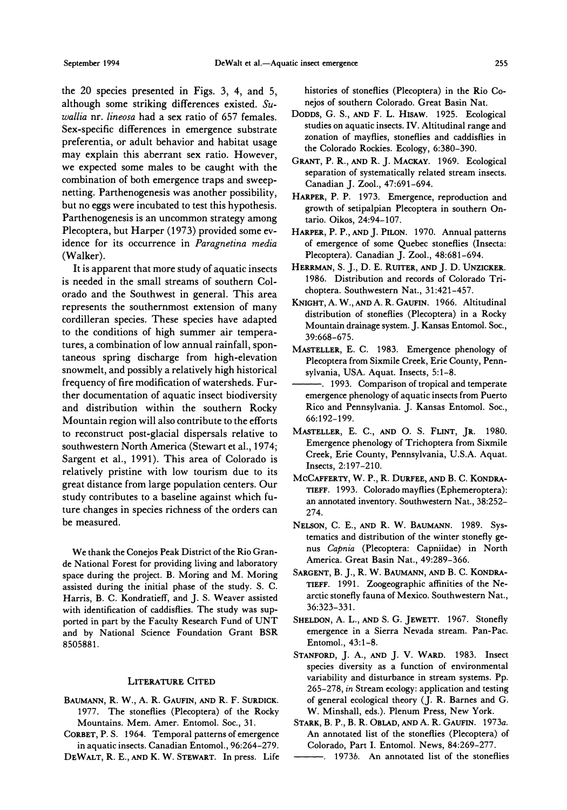**the 20 species presented in Figs. 3, 4, and 5, although some striking differences existed. Suwallia nr. lineosa had a sex ratio of 657 females. Sex-specific differences in emergence substrate preferentia, or adult behavior and habitat usage may explain this aberrant sex ratio. However, we expected some males to be caught with the combination of both emergence traps and sweepnetting. Parthenogenesis was another possibility, but no eggs were incubated to test this hypothesis. Parthenogenesis is an uncommon strategy among Plecoptera, but Harper (1973) provided some evidence for its occurrence in Paragnetina media (Walker).** 

**It is apparent that more study of aquatic insects is needed in the small streams of southern Colorado and the Southwest in general. This area represents the southernmost extension of many cordilleran species. These species have adapted to the conditions of high summer air temperatures, a combination of low annual rainfall, spontaneous spring discharge from high-elevation snowmelt, and possibly a relatively high historical frequency of fire modification of watersheds. Further documentation of aquatic insect biodiversity and distribution within the southern Rocky Mountain region will also contribute to the efforts to reconstruct post-glacial dispersals relative to southwestern North America (Stewart et al., 1974; Sargent et al., 1991). This area of Colorado is relatively pristine with low tourism due to its great distance from large population centers. Our study contributes to a baseline against which future changes in species richness of the orders can be measured.** 

**We thank the Conejos Peak District of the Rio Grande National Forest for providing living and laboratory space during the project. B. Moring and M. Moring assisted during the initial phase of the study. S. C. Harris, B. C. Kondratieff, and J. S. Weaver assisted with identification of caddisflies. The study was supported in part by the Faculty Research Fund of UNT and by National Science Foundation Grant BSR 8505881.** 

## **LITERATURE CITED**

- **BAUMANN, R. W., A. R. GAUFIN, AND R. F. SURDICK. 1977. The stoneflies (Plecoptera) of the Rocky Mountains. Mem. Amer. Entomol. Soc., 31.**
- **CORBET, P. S. 1964. Temporal patterns of emergence in aquatic insects. Canadian Entomol., 96:264-279.**

**DEWALT, R. E., AND K. W. STEWART. In press. Life** 

**histories of stoneflies (Plecoptera) in the Rio Conejos of southern Colorado. Great Basin Nat.** 

- **DODDS, G. S., AND F. L. HISAW. 1925. Ecological studies on aquatic insects. IV. Altitudinal range and zonation of mayflies, stoneflies and caddisflies in the Colorado Rockies. Ecology, 6:380-390.**
- **GRANT, P. R., AND R. J. MACKAY. 1969. Ecological separation of systematically related stream insects. Canadian J. Zool., 47:691-694.**
- **HARPER, P. P. 1973. Emergence, reproduction and growth of setipalpian Plecoptera in southern Ontario. Oikos, 24:94-107.**
- **HARPER, P. P., AND J. PILON. 1970. Annual patterns of emergence of some Quebec stoneflies (Insecta: Plecoptera). Canadian J. Zool., 48:681-694.**
- **HERRMAN, S. J., D. E. RUITER, AND J. D. UNZICKER. 1986. Distribution and records of Colorado Trichoptera. Southwestern Nat., 31:421-457.**
- **KNIGHT, A. W., AND A. R. GAUFIN. 1966. Altitudinal distribution of stoneflies (Plecoptera) in a Rocky Mountain drainage system. J. Kansas Entomol. Soc., 39:668-675.**
- **MASTELLER, E. C. 1983. Emergence phenology of Plecoptera from Sixmile Creek, Erie County, Pennsylvania, USA. Aquat. Insects, 5:1-8.**
- **1993. Comparison of tropical and temperate emergence phenology of aquatic insects from Puerto Rico and Pennsylvania. J. Kansas Entomol. Soc., 66:192-199.**
- **MASTELLER, E. C., AND O. S. FLINT, JR. 1980. Emergence phenology of Trichoptera from Sixmile Creek, Erie County, Pennsylvania, U.S.A. Aquat. Insects, 2:197-210.**
- **MCCAFFERTY, W. P., R. DURFEE, AND B. C. KONDRA-TIEFF. 1993. Colorado mayflies (Ephemeroptera): an annotated inventory. Southwestern Nat., 38:252- 274.**
- **NELSON, C. E., AND R. W. BAUMANN. 1989. Systematics and distribution of the winter stonefly genus Capnia (Plecoptera: Capniidae) in North America. Great Basin Nat., 49:289-366.**
- **SARGENT, B. J., R. W. BAUMANN, AND B. C. KONDRA-TIEFF. 1991. Zoogeographic affinities of the Nearctic stonefly fauna of Mexico. Southwestern Nat., 36:323-331.**
- **SHELDON, A. L., AND S. G. JEWETT. 1967. Stonefly emergence in a Sierra Nevada stream. Pan-Pac. Entomol., 43:1-8.**
- **STANFORD, J. A., AND J. V. WARD. 1983. Insect species diversity as a function of environmental variability and disturbance in stream systems. Pp. 265-278, in Stream ecology: application and testing of general ecological theory (J. R. Barnes and G. W. Minshall, eds.). Plenum Press, New York.**
- **STARK, B. P., B. R. OBLAD, AND A. R. GAUFIN. 1973a. An annotated list of the stoneflies (Plecoptera) of Colorado, Part I. Entomol. News, 84:269-277.** 
	- **.1973b. An annotated list of the stoneflies**